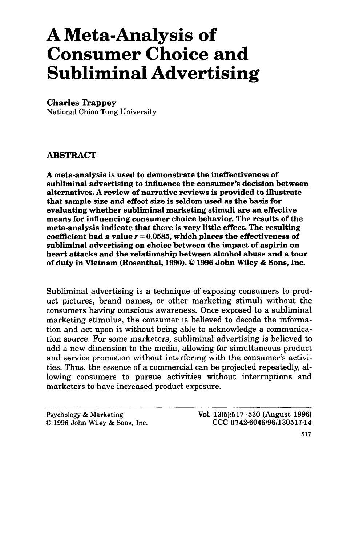# A Meta-Analysis of Consumer Choice and Subliminal Advertising

### **Charles Trappey**

National Chiao Tung University

## **ABSTRACT**

A meta-analysis is used to demonstrate the ineffectiveness of subliminal advertising to influence the consumer's decision between alternatives. A review of narrative reviews is provided to illustrate that sample size and effect size is seldom used as the basis for evaluating whether subliminal marketing stimuli are an effective means for influencing consumer choice behavior. The results **of** the meta-analysis indicate that there is very little effect. The resulting coefficient had a value  $r = 0.0585$ , which places the effectiveness of subliminal advertising on choice between the impact of aspirin on heart attacks and the relationship between alcohol abuse and a tour of duty in Vietnam (Rosenthal, **1990).** *0* **1996 John** Wiley & Sons, Inc.

Subliminal advertising is a technique of exposing consumers to product pictures, brand names, or other marketing stimuli without the consumers having conscious awareness. Once exposed to a subliminal marketing stimulus, the consumer is believed to decode the information and act upon it without being able to acknowledge a communication source. For some marketers, subliminal advertising is believed to add a new dimension to the media, allowing for simultaneous product and service promotion without interfering with the consumer's activities. Thus, the essence of a commercial can be projected repeatedly, allowing consumers to pursue activities without interruptions and marketers to have increased product exposure.

| Psychology & Marketing |  |  |                                |  |  |  |
|------------------------|--|--|--------------------------------|--|--|--|
|                        |  |  | © 1996 John Wiley & Sons, Inc. |  |  |  |

**Vol. 13(5):517-530 (August 1996) CCC 0742-6046/96/130517-14**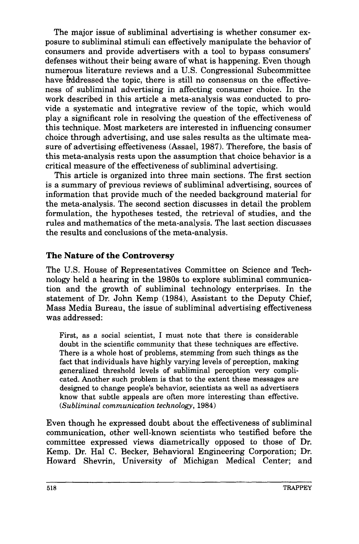The major issue of subliminal advertising is whether consumer exposure to subliminal stimuli can effectively manipulate the behavior of consumers and provide advertisers with a tool to bypass consumers' defenses without their being aware of what is happening. Even though numerous literature reviews and a US. Congressional Subcommittee have gddressed the topic, there is still no consensus on the effectiveness of subliminal advertising in affecting consumer choice. In the work described in this article a meta-analysis was conducted to provide a systematic and integrative review of the topic, which would play a significant role in resolving the question of the effectiveness of this technique. Most marketers are interested in influencing consumer choice through advertising, and use sales results as the ultimate measure of advertising effectiveness (Assael, 1987). Therefore, the basis of this meta-analysis rests upon the assumption that choice behavior is a critical measure of the effectiveness of subliminal advertising.

This article is organized into three main sections. The first section is a summary of previous reviews of subliminal advertising, sources of information that provide much of the needed background material for the meta-analysis. The second section discusses in detail the problem formulation, the hypotheses tested, the retrieval of studies, and the rules and mathematics of the meta-analysis. The last section discusses the results and conclusions of the meta-analysis.

# **The Nature of the Controversy**

The U.S. House of Representatives Committee on Science and Technology held a hearing in the 1980s to explore subliminal communication and the growth of subliminal technology enterprises. In the statement of Dr. John Kemp (1984), Assistant to the Deputy Chief, Mass Media Bureau, the issue of subliminal advertising effectiveness was addressed:

First, as a social scientist, I must note that there is considerable doubt in the scientific community that these techniques are effective. There is a whole host **of** problems, stemming from such things as the fact that individuals have highly varying levels **of** perception, making generalized threshold levels of subliminal perception very complicated. Another such problem is that to the extent these messages are designed to change people's behavior, scientists as well as advertisers know that subtle appeals are often more interesting than effective. *(Subliminal communication technology,* **1984)** 

Even though he expressed doubt about the effectiveness of subliminal communication, other well-known scientists who testified before the committee expressed views diametrically opposed to those of Dr. Kemp. Dr. Hal C. Becker, Behavioral Engineering Corporation; Dr. Howard Shevrin, University of Michigan Medical Center; and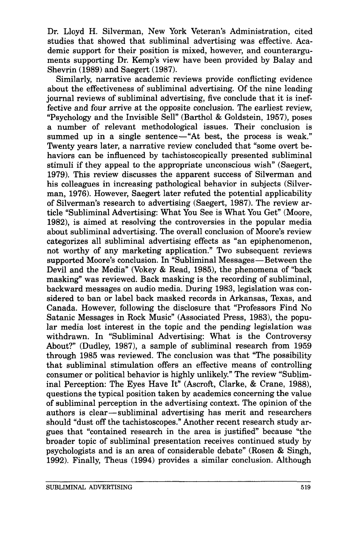Dr. Lloyd H. Silverman, New York Veteran's Administration, cited studies that showed that subliminal advertising was effective. Academic support for their position is mixed, however, and counterarguments supporting Dr. Kemp's view have been provided by Balay and Shevrin **(1989)** and Saegert **(1987).** 

Similarly, narrative academic reviews provide conflicting evidence about the effectiveness of subliminal advertising. Of the nine leading journal reviews of subliminal advertising, five conclude that it is ineffective and four arrive at the opposite conclusion. The earliest review, "Psychology and the Invisible Sell" (Barthol & Goldstein, 1957), poses a number of relevant methodological issues. Their conclusion is summed up in a single sentence—"At best, the process is weak." Twenty years later, a narrative review concluded that "some overt behaviors can be influenced by tachistoscopically presented subliminal stimuli if they appeal to the appropriate unconscious wish" (Saegert, **1979).** This review discusses the apparent success of Silverman and his colleagues in increasing pathological behavior in subjects (Silverman, **1976).** However, Saegert later refuted the potential applicability of Silverman's research to advertising (Saegert, **1987).** The review article "Subliminal Advertising: What You See is What You Get" (Moore, **1982),** is aimed at resolving the controversies in the popular media about subliminal advertising. The overall conclusion of Moore's review categorizes all subliminal advertising effects as "an epiphenomenon, not worthy of any marketing application." Two subsequent reviews supported Moore's conclusion. In "Subliminal Messages—Between the Devil and the Media" (Vokey & Read, 1985), the phenomena of "back" masking" was reviewed. Back masking is the recording of subliminal, backward messages on audio media. During **1983,** legislation was considered to ban or label back masked records in Arkansas, Texas, and Canada. However, following the disclosure that "Professors Find No Satanic Messages in Rock Music" (Associated Press, 1983), the popular media lost interest in the topic and the pending legislation was withdrawn. In "Subliminal Advertising: What is the Controversy About?" (Dudley, **1987),** a sample of subliminal research from **1959**  through **1985** was reviewed. The conclusion was that "The possibility that subliminal stimulation offers an effective means of controlling consumer or political behavior is highly unlikely." The review "Subliminal Perception: The Eyes Have It" (Ascroft, Clarke, & Crane, 1988), questions the typical position taken by academics concerning the value of subliminal perception in the advertising context. The opinion of the questions the typical position taken by academics concerning the value<br>of subliminal perception in the advertising context. The opinion of the<br>authors is clear—subliminal advertising has merit and researchers should "dust off the tachistoscopes." Another recent research study argues that "contained research in the area is justified" because "the broader topic of subliminal presentation receives continued study by psychologists and is an area of considerable debate" (Rosen & Singh, **1992).** Finally, Theus **(1994)** provides a similar conclusion. Although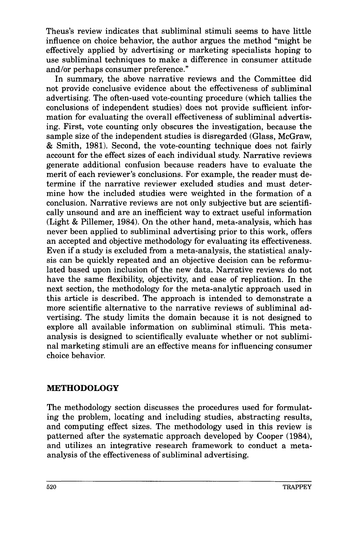Theus's review indicates that subliminal stimuli seems to have little influence on choice behavior, the author argues the method "might be effectively applied by advertising or marketing specialists hoping to use subliminal techniques to make a difference in consumer attitude and/or perhaps consumer preference."

In summary, the above narrative reviews and the Committee did not provide conclusive evidence about the effectiveness of subliminal advertising. The often-used vote-counting procedure (which tallies the conclusions of independent studies) does not provide sufficient information for evaluating the overall effectiveness of subliminal advertising. First, vote counting only obscures the investigation, because the sample size of the independent studies is disregarded (Glass, McGraw, & Smith, **1981).** Second, the vote-counting technique does not fairly account for the effect sizes of each individual study. Narrative reviews generate additional confusion because readers have to evaluate the merit of each reviewer's conclusions. For example, the reader must determine if the narrative reviewer excluded studies and must determine how the included studies were weighted in the formation of a conclusion. Narrative reviews are not only subjective but are scientifically unsound and are an inefficient way to extract useful information (Light & Pillemer, **1984).** On the other hand, meta-analysis, which has never been applied to subliminal advertising prior to this work, offers an accepted and objective methodology for evaluating its effectiveness. Even if a study is excluded from a meta-analysis, the statistical analysis can be quickly repeated and an objective decision can be reformulated based upon inclusion of the new data. Narrative reviews do not have the same flexibility, objectivity, and ease of replication. In the next section, the methodology for the meta-analytic approach used in this article is described. The approach is intended to demonstrate a more scientific alternative to the narrative reviews of subliminal advertising. The study limits the domain because it is not designed to explore all available information on subliminal stimuli. This metaanalysis is designed to scientifically evaluate whether or not subliminal marketing stimuli are an effective means for influencing consumer choice behavior.

# **METHODOLOGY**

The methodology section discusses the procedures used for formulating the problem, locating and including studies, abstracting results, and computing effect sizes. The methodology used in this review is patterned after the systematic approach developed by Cooper **(1984),**  and utilizes an integrative research framework to conduct a metaanalysis of the effectiveness of subliminal advertising.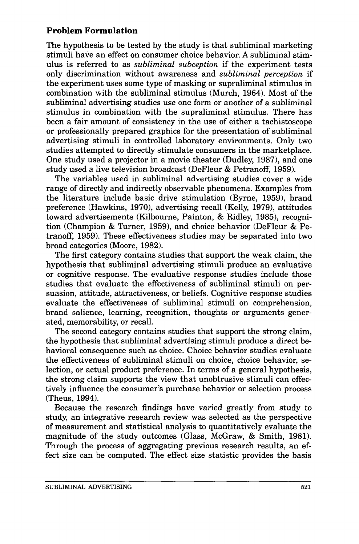# **Problem Formulation**

The hypothesis to be tested by the study is that subliminal marketing stimuli have an effect on consumer choice behavior. **A** subliminal stimulus is referred to as *subliminal subception* if the experiment tests only discrimination without awareness and *subliminal perception* if the experiment uses some type of masking or supraliminal stimulus in combination with the subliminal stimulus (Murch, **1964).** Most of the subliminal advertising studies use one form or another of a subliminal stimulus in combination with the supraliminal stimulus. There has been a fair amount of consistency in the use of either a tachistoscope or professionally prepared graphics for the presentation of subliminal advertising stimuli in controlled laboratory environments. Only two studies attempted to directly stimulate consumers in the marketplace. One study used a projector in a movie theater (Dudley, **1987),** and one study used a live television broadcast (DeFleur & Petranoff, **1959).** 

The variables used in subliminal advertising studies cover a wide range of directly and indirectly observable phenomena. Examples from the literature include basic drive stimulation (Byrne, **1959),** brand preference (Hawkins, **1970),** advertising recall (Kelly, **1979),** attitudes toward advertisements (Kilbourne, Painton, & Ridley, **1985),** recognition (Champion & Turner, **1959),** and choice behavior (DeFleur & Petranoff, **1959).** These effectiveness studies may be separated into two broad categories (Moore, **1982).** 

The first category contains studies that support the weak claim, the hypothesis that subliminal advertising stimuli produce an evaluative or cognitive response. The evaluative response studies include those studies that evaluate the effectiveness of subliminal stimuli on persuasion, attitude, attractiveness, or beliefs. Cognitive response studies evaluate the effectiveness of subliminal stimuli on comprehension, brand salience, learning, recognition, thoughts or arguments generated, memorability, or recall.

The second category contains studies that support the strong claim, the hypothesis that subliminal advertising stimuli produce a direct behavioral consequence such as choice. Choice behavior studies evaluate the effectiveness of subliminal stimuli on choice, choice behavior, selection, or actual product preference. In terms of a general hypothesis, the strong claim supports the view that unobtrusive stimuli can effectively influence the consumer's purchase behavior or selection process (Theus, **1994).** 

Because the research findings have varied greatly from study to study, an integrative research review was selected as the perspective of measurement and statistical analysis to quantitatively evaluate the magnitude of the study outcomes (Glass, McGraw, & Smith, **1981).**  Through the process of aggregating previous research results, an effect size can be computed. The effect size statistic provides the basis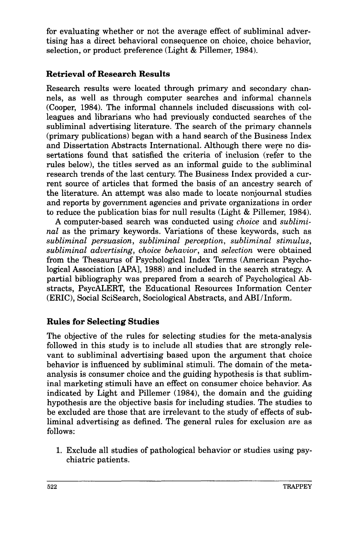for evaluating whether or not the average effect of subliminal advertising has a direct behavioral consequence on choice, choice behavior, selection, or product preference (Light & Pillemer, 1984).

# **Retrieval of Research Results**

Research results were located through primary and secondary channels, as well as through computer searches and informal channels (Cooper, 1984). The informal channels included discussions with colleagues and librarians who had previously conducted searches of the subliminal advertising literature. The search of the primary channels (primary publications) began with a hand search of the Business Index and Dissertation Abstracts International. Although there were no dissertations found that satisfied the criteria of inclusion (refer to the rules below), the titles served as an informal guide to the subliminal research trends of the last century. The Business Index provided a current source of articles that formed the basis of an ancestry search of the literature. An attempt was also made to locate nonjournal studies and reports by government agencies and private organizations in order to reduce the publication bias for null results (Light & Pillemer, 1984).

A computer-based search was conducted using *choice* and *subliminal* as the primary keywords. Variations of these keywords, such as *subliminal persuasion, subliminal perception, subliminal stimulus, subliminal advertising, choice behavior,* and *selection* were obtained from the Thesaurus of Psychological Index Terms (American Psychological Association [APA], 1988) and included in the search strategy. A partial bibliography was prepared from a search of Psychological Abstracts, PsycALERT, the Educational Resources Information Center (ERIC), Social SciSearch, Sociological Abstracts, and ABI/Inform.

# **Rules for Selecting Studies**

The objective of the rules for selecting studies for the meta-analysis followed in this study is to include all studies that are strongly relevant to subliminal advertising based upon the argument that choice behavior is influenced by subliminal stimuli. The domain of the metaanalysis is consumer choice and the guiding hypothesis is that subliminal marketing stimuli have an effect on consumer choice behavior. As indicated by Light and Pillemer (1984), the domain and the guiding hypothesis are the objective basis for including studies. The studies to be excluded are those that are irrelevant to the study of effects of subliminal advertising as defined. The general rules for exclusion are as follows:

1. Exclude all studies of pathological behavior or studies using psychiatric patients.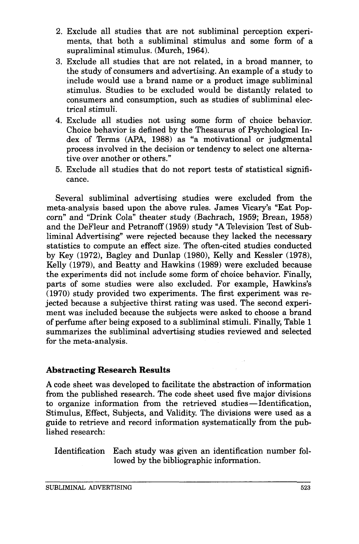- 2. Exclude all studies that are not subliminal perception experiments, that both a subliminal stimulus and some form of a supraliminal stimulus. (Murch, 1964).
- **3.**  Exclude all studies that are not related, in a broad manner, to the study of consumers and advertising. An example of a study to include would use a brand name or a product image subliminal stimulus. Studies to be excluded would be distantly related to consumers and consumption, such as studies of subliminal electrical stimuli.
- **4.**  Exclude all studies not using some form of choice behavior. Choice behavior is defined by the Thesaurus of Psychological Index of Terms (APA, 1988) as "a motivational or judgmental process involved in the decision or tendency to select one alternative over another or others."
- *5.*  Exclude all studies that do not report tests of statistical significance.

Several subliminal advertising studies were excluded from the meta-analysis based upon the above rules. James Vicary's "Eat Popcorn" and "Drink Cola" theater study (Bachrach, 1959; Brean, 1958) and the DeFleur and Petranoff (1959) study "A Television Test of Subliminal Advertising" were rejected because they lacked the necessary statistics to compute an effect size. The often-cited studies conducted by Key  $(1972)$ , Bagley and Dunlap  $(1980)$ , Kelly and Kessler  $(1978)$ , Kelly (1979), and Beatty and Hawkins (1989) were excluded because the experiments did not include some form of choice behavior. Finally, parts of some studies were also excluded. For example, Hawkins's (1970) study provided two experiments. The first experiment was rejected because a subjective thirst rating was used. The second experiment was included because the subjects were asked to choose a brand of perfume after being exposed to a subliminal stimuli. Finally, Table 1 summarizes the subliminal advertising studies reviewed and selected for the meta-analysis.

## **Abstracting Research Results**

**A** code sheet was developed to facilitate the abstraction of information from the published research. The code sheet used five major divisions A code sheet was developed to facilitate the abstraction of information<br>from the published research. The code sheet used five major divisions<br>to organize information from the retrieved studies—Identification,<br>Sting has bee Stimulus, Effect, Subjects, and Validity. The divisions were used as a guide to retrieve and record information systematically from the published research:

Identification Each study was given an identification number followed by the bibliographic information.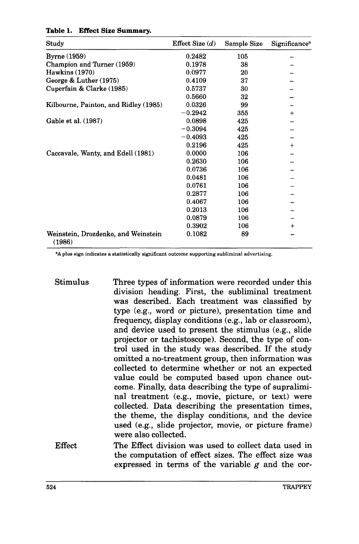| Study                                         | Effect Size $(d)$ | Sample Size | Significance <sup>a</sup> |
|-----------------------------------------------|-------------------|-------------|---------------------------|
| <b>Byrne</b> (1959)                           | 0.2482            | 105         |                           |
| Champion and Turner (1959)                    | 0.1978            | 38          |                           |
| <b>Hawkins</b> (1970)                         | 0.0977            | 20          |                           |
| George & Luther (1975)                        | 0.4109            | 37          |                           |
| Cuperfain & Clarke (1985)                     | 0.5737            | 30          |                           |
|                                               | 0.5660            | 32          |                           |
| Kilbourne, Painton, and Ridley (1985)         | 0.0326            | 99          |                           |
|                                               | $-0.2942$         | 355         | $\div$                    |
| Gable et al. (1987)                           | 0.0898            | 425         |                           |
|                                               | $-0.3094$         | 425         |                           |
|                                               | $-0.4093$         | 425         |                           |
|                                               | 0.2196            | 425         | $^{+}$                    |
| Caccavale, Wanty, and Edell (1981)            | 0.0000            | 106         |                           |
|                                               | 0.2630            | 106         |                           |
|                                               | 0.0736            | 106         |                           |
|                                               | 0.0481            | 106         |                           |
|                                               | 0.0761            | 106         |                           |
|                                               | 0.2877            | 106         |                           |
|                                               | 0.4067            | 106         |                           |
|                                               | 0.2013            | 106         |                           |
|                                               | 0.0879            | 106         |                           |
|                                               | 0.3902            | 106         | $^{+}$                    |
| Weinstein, Drozdenko, and Weinstein<br>(1986) | 0.1082            | 89          |                           |

#### **Table 1. Effect Size Summary.**

**.A** plus sign indicates a statistically significant outcome supporting subliminal advertising.

- Stimulus Three types of information were recorded under this division heading. First, the subliminal treatment was described. Each treatment was classified by type (e.g., word or picture), presentation time and frequency, display conditions (e.g., lab or classroom), and device used to present the stimulus (e.g., slide projector or tachistoscope). Second, the type of control used in the study was described. If the study omitted a no-treatment group, then information was collected **to** determine whether or not an expected value could be computed based upon chance outcome. Finally, data describing the type of supraliminal treatment (e.g., movie, picture, or text) were collected. Data describing the presentation times, the theme, the display conditions, and the device used (e.g., slide projector, movie, or picture frame) were also collected.
- The Effect division was used to collect data used in the computation of effect sizes. The effect size was expressed in terms of the variable  $g$  and the cor-Effect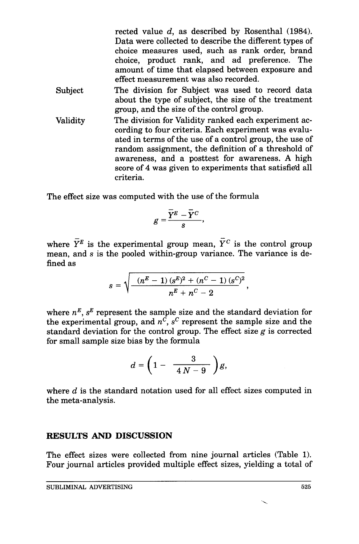rected value *d,* as described by Rosenthal **(1984).**  Data were collected to describe the different types of choice measures used, such as rank order, brand choice, product rank, and ad preference. The amount of time that elapsed between exposure and effect measurement was also recorded.

- The division for Subject was used to record data about the type of subject, the size of the treatment group, and the size of the control group. Subject
- The division for Validity ranked each experiment according to four criteria. Each experiment was evaluated in terms of the use of a control group, the use of random assignment, the definition of a threshold of awareness, and a posttest for awareness. **A** high score of **4** was given to experiments that satisfied all criteria. Validity

The effect size was computed with the use of the formula

$$
g=\frac{\overline{Y}^E-\overline{Y}^C}{s},
$$

where  $\overline{Y}^E$  is the experimental group mean,  $\overline{Y}^C$  is the control group mean, and *s* is the pooled within-group variance. The variance is defined as

$$
s = \sqrt{\frac{-(n^E-1)(s^E)^2 + (n^C-1)(s^C)^2}{n^E + n^C - 2}},
$$

where  $n^E$ ,  $s^E$  represent the sample size and the standard deviation for the experimental group, and  $n^{\overrightarrow{c}}$ ,  $s^{\overrightarrow{c}}$  represent the sample size and the standard deviation for the control group. The effect size  $g$  is corrected for small sample size bias by the formula

$$
d=\bigg(1-\frac{3}{4\,N-9}\bigg)g,
$$

where  $d$  is the standard notation used for all effect sizes computed in the meta-analysis.

# **RESULTS** AND **DISCUSSION**

The effect sizes were collected from nine journal articles (Table 1). Four journal articles provided multiple effect sizes, yielding a total of

\.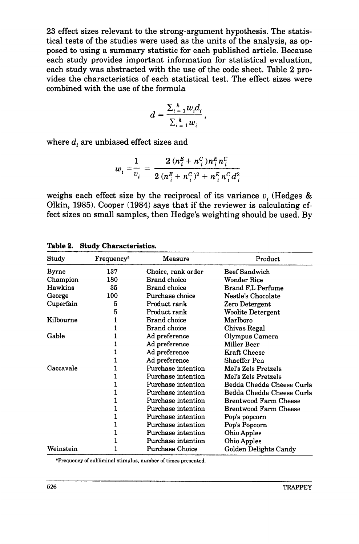**23** effect sizes relevant to the strong-argument hypothesis. The statistical tests of the studies were used as the units of the analysis, as **op**posed to using a summary statistic for each published article. Because each study provides important information for statistical evaluation, each study was abstracted with the use of the code sheet. Table **2** provides the characteristics of each statistical test. The effect sizes were combined with the use of the formula

$$
d=\frac{\sum_{i=1}^k w_i d_i}{\sum_{i=1}^k w_i},
$$

where  $d_i$  are unbiased effect sizes and

$$
w_i = \frac{1}{v_i} = \frac{2 (n_i^E + n_i^C) n_i^E n_i^C}{2 (n_i^E + n_i^C)^2 + n_i^E n_i^C d_i^2}
$$

weighs each effect size by the reciprocal of its variance  $v_i$  (Hedges  $\&$ Olkin, 1985). Cooper (1984) says that if the reviewer is calculating effect sizes on small samples, then Hedge's weighting should be used. By

| Study        | Frequency <sup>a</sup> | Measure                | Product                   |
|--------------|------------------------|------------------------|---------------------------|
| <b>Byrne</b> | 137                    | Choice, rank order     | <b>Beef Sandwich</b>      |
| Champion     | 180                    | <b>Brand</b> choice    | Wonder Rice               |
| Hawkins      | 35                     | <b>Brand</b> choice    | <b>Brand F,L Perfume</b>  |
| George       | 100                    | Purchase choice        | Nestle's Chocolate        |
| Cuperfain    | 5                      | Product rank           | Zero Detergent            |
|              | 5                      | Product rank           | Woolite Detergent         |
| Kilbourne    |                        | <b>Brand</b> choice    | Marlboro                  |
|              |                        | <b>Brand</b> choice    | Chivas Regal              |
| Gable        |                        | Ad preference          | Olympus Camera            |
|              |                        | Ad preference          | Miller Beer               |
|              |                        | Ad preference          | Kraft Cheese              |
|              |                        | Ad preference          | Shaeffer Pen              |
| Caccavale    |                        | Purchase intention     | Mel's Zels Pretzels       |
|              |                        | Purchase intention     | Mel's Zels Pretzels       |
|              |                        | Purchase intention     | Bedda Chedda Cheese Curls |
|              |                        | Purchase intention     | Bedda Chedda Cheese Curls |
|              |                        | Purchase intention     | Brentwood Farm Cheese     |
|              |                        | Purchase intention     | Brentwood Farm Cheese     |
|              |                        | Purchase intention     | Pop's popcorn             |
|              |                        | Purchase intention     | Pop's Popcorn             |
|              |                        | Purchase intention     | Ohio Apples               |
|              |                        | Purchase intention     | Ohio Apples               |
| Weinstein    |                        | <b>Purchase Choice</b> | Golden Delights Candy     |

**Table 2. Study Characteristics.** 

aFrequency of subliminal stimulus, number of times presented.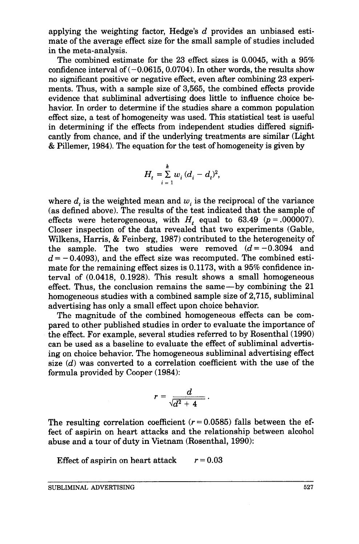applying the weighting factor, Hedge's *d* provides an unbiased estimate of the average effect size for the small sample of studies included in the meta-analysis.

The combined estimate for the 23 effect sizes is 0.0045, with a 95% confidence interval of  $(-0.0615, 0.0704)$ . In other words, the results show no significant positive or negative effect, even after combining 23 experiments. Thus, with a sample size of 3,565, the combined effects provide evidence that subliminal advertising does little to influence choice behavior. In order to determine if the studies share a common population effect size, a test of homogeneity was used. This statistical test is useful in determining if the effects from independent studies differed significantly from chance, and if the underlying treatments are similar (Light & Pillemer, 1984). The equation for the test of homogeneity is given by

$$
H_{t} = \sum_{i=1}^{k} w_{i} (d_{i} - d_{i})^{2},
$$

where  $d_i$ , is the weighted mean and  $w_i$  is the reciprocal of the variance (as defined above). The results of the test indicated that the sample of effects were heterogeneous, with  $H_t$  equal to 63.49  $(p = .000007)$ . Closer inspection of the data revealed that two experiments (Gable, Wilkens, Harris, & Feinberg, 1987) contributed to the heterogeneity of the sample. The two studies were removed  $(d=-0.3094$  and  $d = -0.4093$ ), and the effect size was recomputed. The combined estimate for the remaining effect sizes is 0.1173, with a 95% confidence interval of (0.0418, 0.1928). This result shows a small homogeneous effect. Thus, the conclusion remains the same—by combining the 21 homogeneous studies with a combined sample size of 2,715, subliminal advertising has only a small effect upon choice behavior.

The magnitude of the combined homogeneous effects can be compared to other published studies in order to evaluate the importance of the effect. For example, several studies referred to by Rosenthal (1990) can be used as a baseline to evaluate the effect of subliminal advertising on choice behavior. The homogeneous subliminal advertising effect size *(d)* was converted to a correlation coefficient with the use of the formula provided by Cooper (1984):

$$
r=\frac{d}{\sqrt{d^2+4}}.
$$

The resulting correlation coefficient  $(r = 0.0585)$  falls between the effect of aspirin on heart attacks and the relationship between alcohol abuse and a tour of duty in Vietnam (Rosenthal, 1990):

Effect of aspirin on heart attack  $r = 0.03$ 

SUBLIMINAL ADVERTISING **527**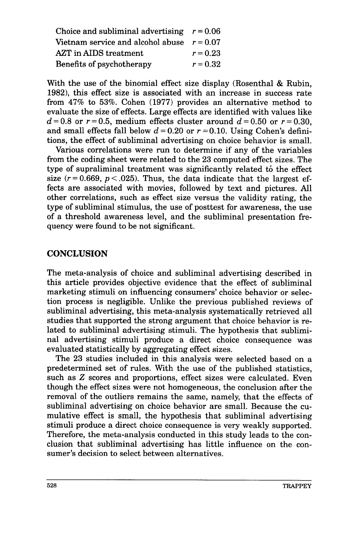| Choice and subliminal advertising $r = 0.06$ |            |
|----------------------------------------------|------------|
| Vietnam service and alcohol abuse $r = 0.07$ |            |
| AZT in AIDS treatment                        | $r = 0.23$ |
| Benefits of psychotherapy                    | $r = 0.32$ |

With the use of the binomial effect size display (Rosenthal & Rubin, *1982),* this effect size is associated with an increase in success rate from **47%** to *53%.* Cohen **(1977)** provides an alternative method to evaluate the size of effects. Large effects are identified with values like  $d=0.8$  or  $r=0.5$ , medium effects cluster around  $d=0.50$  or  $r=0.30$ . and small effects fall below  $d = 0.20$  or  $r = 0.10$ . Using Cohen's definitions, the effect of subliminal advertising on choice behavior is small.

Various correlations were run to determine if any of the variables from the coding sheet were related to the **23** computed effect sizes. The type of supraliminal treatment was significantly related to the effect size  $(r = 0.669, p < .025)$ . Thus, the data indicate that the largest effects are associated with movies, followed by text and pictures. All other correlations, such as effect size versus the validity rating, the type of subliminal stimulus, the use of posttest for awareness, the use of a threshold awareness level, and the subliminal presentation frequency were found to be not significant.

# **CONCLUSION**

The meta-analysis of choice and subliminal advertising described in this article provides objective evidence that the effect of subliminal marketing stimuli on influencing consumers' choice behavior or selection process is negligible. Unlike the previous published reviews of subliminal advertising, this meta-analysis systematically retrieved all studies that supported the strong argument that choice behavior is related to subliminal advertising stimuli. The hypothesis that subliminal advertising stimuli produce a direct choice consequence was evaluated statistically by aggregating effect sizes.

The *23* studies included in this analysis were selected based on a predetermined set of rules. With the use of the published statistics, such as 2 scores and proportions, effect sizes were calculated. Even though the effect sizes were not homogeneous, the conclusion after the removal of the outliers remains the same, namely, that the effects of subliminal advertising on choice behavior are small. Because the cumulative effect is small, the hypothesis that subliminal advertising stimuli produce a direct choice consequence is very weakly supported. Therefore, the meta-analysis conducted in this study leads to the conclusion that subliminal advertising has little influence on the consumer's decision to select between alternatives.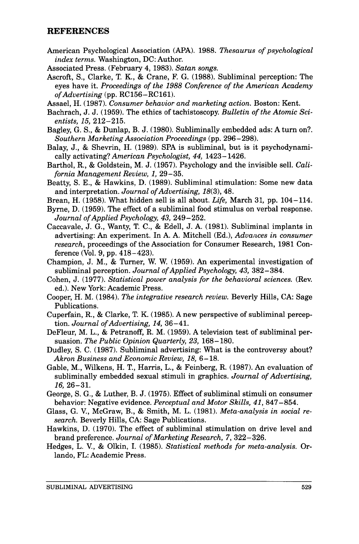#### **REFERENCES**

- American Psychological Association **(APA). 1988.** *Thesaurus of psychological index terms.* Washington, DC: Author.
- Associated Press. (February **4,1983).** *Satan songs.*
- Ascroft, S., Clarke, T. K., & Crane, F. G. **(1988).** Subliminal perception: The eyes have it. *Proceedings of the* **1988** *Conference of the American Academy of Advertising* (pp. **RC156-RC161).**
- Assael, H. **(1987).** *Consumer behavior and marketing action.* Boston: Kent.
- Bachrach, J. J. **(1959).** The ethics of tachistoscopy. *Bulletin of the Atomic Scientists,* **15, 212-215.**
- Bagley, G. S., & Dunlap, B. J. **(1980).** Subliminally embedded ads: **A** turn on?. *Southern Marketing Association Proceedings* (pp. **296-298).**
- Balay, J., & Shevrin, H. **(1989).** SPA is subliminal, but is it psychodynamically activating? *American Psychologist, 44,* 1423-1426.
- Barthol, **R.,** & Goldstein, M. J. **(1957).** Psychology and the invisible sell. *California Management Review,* **1, 29-35.**
- Beatty, S. E., & Hawkins, D. **(1989).** Subliminal stimulation: Some new data and interpretation. *Journal of Advertising,* **18(3), 48.**
- Brean, H. **(1958).** What hidden sell is all about. *Life,* March **31,** pp. **104-114.**
- Byrne, D. **(1959).** The effect of a subliminal food stimulus on verbal response. *Journal of Applied Psychology,* **43,249-252.**
- Caccavale, J. G., Wanty, T. C., & Edell, J. A. **(1981).** Subliminal implants in advertising: An experiment. In A. A. Mitchell (Ed.), *Advances in consumer research,* proceedings of the Association for Consumer Research, **1981** Conference (Vol. **9,** pp. **418-423).**
- Champion, J. M., & Turner, W. W. **(1959). An** experimental investigation of subliminal perception. *Journal of Applied Psychology,* **43, 382** - **384.**
- Cohen, J. **(1977).** *Statistical power analysis for the behavioral sciences.* (Rev. ed.). New York: Academic Press.
- Cooper, H. M. **(1984).** *The integrative research review.* Beverly Hills, CA: Sage Publications.
- Cuperfain, R., & Clarke, T. K. **(1985).** A new perspective of subliminal perception. *Journal of Advertising, 14,* **36-41.**
- DeFleur, M. L., & Petranoff, R. M. **(1959).** A television test of subliminal persuasion. *The Public Opinion Quarterly,* **23, 168- 180.**
- Dudley, S. C. **(1987).** Subliminal advertising: What is the controversy about? *Akron Business and Economic Review,* **18, 6-18.**
- Gable, M., Wilkens, H. T., Harris, L., & Feinberg, R. **(1987). An** evaluation of subliminally embedded sexual stimuli in graphics. *Journal of Advertising,*  **16,26-31.**
- George, S. *G.,* & Luther, B. J. **(1975).** Effect of subliminal stimuli on consumer behavior: Negative evidence. *Perceptual and Motor Skills,* **41, 847-854.**
- Glass, G. V., McGraw, B., & Smith, M. L. **(1981).** *Meta-analysis in social research.* Beverly Hills, CA: Sage Publications.
- Hawkins, D. **(1970).** The effect of subliminal stimulation on drive level and brand preference. *Journal of Marketing Research, 7,* **322 -326.**
- Hedges, L. V., & Olkin, I. **(1985).** *Statistical methods for meta-analysis.* Orlando, FL: Academic Press.